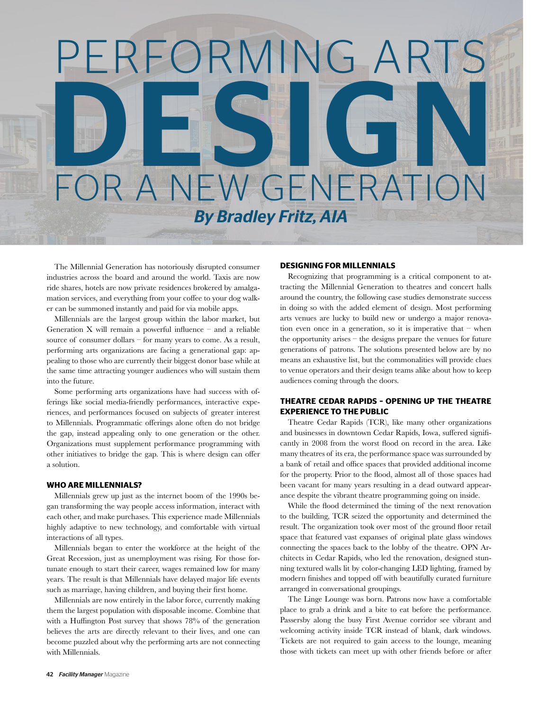# *By Bradley Fritz, AIA* PERFORMING ART DESIGN FOR A NEW GENERATION

The Millennial Generation has notoriously disrupted consumer industries across the board and around the world. Taxis are now ride shares, hotels are now private residences brokered by amalgamation services, and everything from your coffee to your dog walker can be summoned instantly and paid for via mobile apps.

Millennials are the largest group within the labor market, but Generation  $X$  will remain a powerful influence – and a reliable source of consumer dollars – for many years to come. As a result, performing arts organizations are facing a generational gap: appealing to those who are currently their biggest donor base while at the same time attracting younger audiences who will sustain them into the future.

Some performing arts organizations have had success with offerings like social media-friendly performances, interactive experiences, and performances focused on subjects of greater interest to Millennials. Programmatic offerings alone often do not bridge the gap, instead appealing only to one generation or the other. Organizations must supplement performance programming with other initiatives to bridge the gap. This is where design can offer a solution.

#### **WHO ARE MILLENNIALS?**

Millennials grew up just as the internet boom of the 1990s began transforming the way people access information, interact with each other, and make purchases. This experience made Millennials highly adaptive to new technology, and comfortable with virtual interactions of all types.

Millennials began to enter the workforce at the height of the Great Recession, just as unemployment was rising. For those fortunate enough to start their career, wages remained low for many years. The result is that Millennials have delayed major life events such as marriage, having children, and buying their first home.

Millennials are now entirely in the labor force, currently making them the largest population with disposable income. Combine that with a Huffington Post survey that shows 78% of the generation believes the arts are directly relevant to their lives, and one can become puzzled about why the performing arts are not connecting with Millennials.

#### **DESIGNING FOR MILLENNIALS**

Recognizing that programming is a critical component to attracting the Millennial Generation to theatres and concert halls around the country, the following case studies demonstrate success in doing so with the added element of design. Most performing arts venues are lucky to build new or undergo a major renovation even once in a generation, so it is imperative that – when the opportunity arises – the designs prepare the venues for future generations of patrons. The solutions presented below are by no means an exhaustive list, but the commonalities will provide clues to venue operators and their design teams alike about how to keep audiences coming through the doors.

# **THEATRE CEDAR RAPIDS – OPENING UP THE THEATRE EXPERIENCE TO THE PUBLIC**

Theatre Cedar Rapids (TCR), like many other organizations and businesses in downtown Cedar Rapids, Iowa, suffered significantly in 2008 from the worst flood on record in the area. Like many theatres of its era, the performance space was surrounded by a bank of retail and office spaces that provided additional income for the property. Prior to the flood, almost all of those spaces had been vacant for many years resulting in a dead outward appearance despite the vibrant theatre programming going on inside.

While the flood determined the timing of the next renovation to the building, TCR seized the opportunity and determined the result. The organization took over most of the ground floor retail space that featured vast expanses of original plate glass windows connecting the spaces back to the lobby of the theatre. OPN Architects in Cedar Rapids, who led the renovation, designed stunning textured walls lit by color-changing LED lighting, framed by modern finishes and topped off with beautifully curated furniture arranged in conversational groupings.

The Linge Lounge was born. Patrons now have a comfortable place to grab a drink and a bite to eat before the performance. Passersby along the busy First Avenue corridor see vibrant and welcoming activity inside TCR instead of blank, dark windows. Tickets are not required to gain access to the lounge, meaning those with tickets can meet up with other friends before or after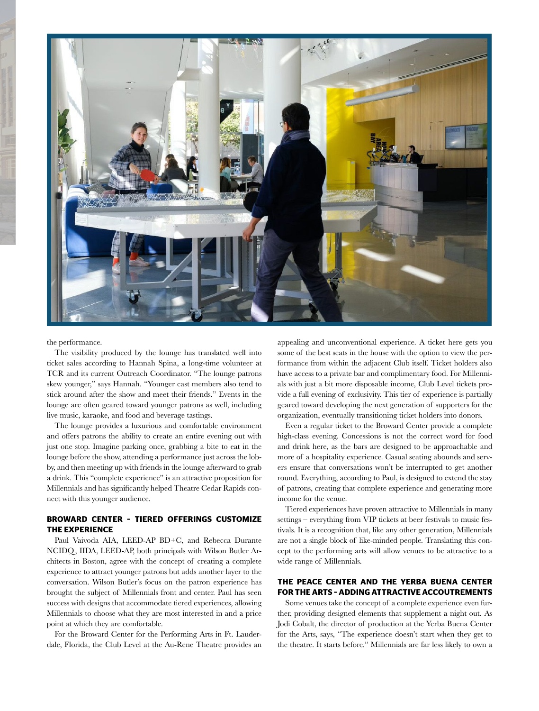

the performance.

The visibility produced by the lounge has translated well into ticket sales according to Hannah Spina, a long-time volunteer at TCR and its current Outreach Coordinator. "The lounge patrons skew younger," says Hannah. "Younger cast members also tend to stick around after the show and meet their friends." Events in the lounge are often geared toward younger patrons as well, including live music, karaoke, and food and beverage tastings.

The lounge provides a luxurious and comfortable environment and offers patrons the ability to create an entire evening out with just one stop. Imagine parking once, grabbing a bite to eat in the lounge before the show, attending a performance just across the lobby, and then meeting up with friends in the lounge afterward to grab a drink. This "complete experience" is an attractive proposition for Millennials and has significantly helped Theatre Cedar Rapids connect with this younger audience.

## **BROWARD CENTER – TIERED OFFERINGS CUSTOMIZE THE EXPERIENCE**

Paul Vaivoda AIA, LEED-AP BD+C, and Rebecca Durante NCIDQ, IIDA, LEED-AP, both principals with Wilson Butler Architects in Boston, agree with the concept of creating a complete experience to attract younger patrons but adds another layer to the conversation. Wilson Butler's focus on the patron experience has brought the subject of Millennials front and center. Paul has seen success with designs that accommodate tiered experiences, allowing Millennials to choose what they are most interested in and a price point at which they are comfortable.

For the Broward Center for the Performing Arts in Ft. Lauderdale, Florida, the Club Level at the Au-Rene Theatre provides an appealing and unconventional experience. A ticket here gets you some of the best seats in the house with the option to view the performance from within the adjacent Club itself. Ticket holders also have access to a private bar and complimentary food. For Millennials with just a bit more disposable income, Club Level tickets provide a full evening of exclusivity. This tier of experience is partially geared toward developing the next generation of supporters for the organization, eventually transitioning ticket holders into donors.

Even a regular ticket to the Broward Center provide a complete high-class evening. Concessions is not the correct word for food and drink here, as the bars are designed to be approachable and more of a hospitality experience. Casual seating abounds and servers ensure that conversations won't be interrupted to get another round. Everything, according to Paul, is designed to extend the stay of patrons, creating that complete experience and generating more income for the venue.

Tiered experiences have proven attractive to Millennials in many settings – everything from VIP tickets at beer festivals to music festivals. It is a recognition that, like any other generation, Millennials are not a single block of like-minded people. Translating this concept to the performing arts will allow venues to be attractive to a wide range of Millennials.

# **THE PEACE CENTER AND THE YERBA BUENA CENTER FOR THE ARTS – ADDING ATTRACTIVE ACCOUTREMENTS**

Some venues take the concept of a complete experience even further, providing designed elements that supplement a night out. As Jodi Cobalt, the director of production at the Yerba Buena Center for the Arts, says, "The experience doesn't start when they get to the theatre. It starts before." Millennials are far less likely to own a